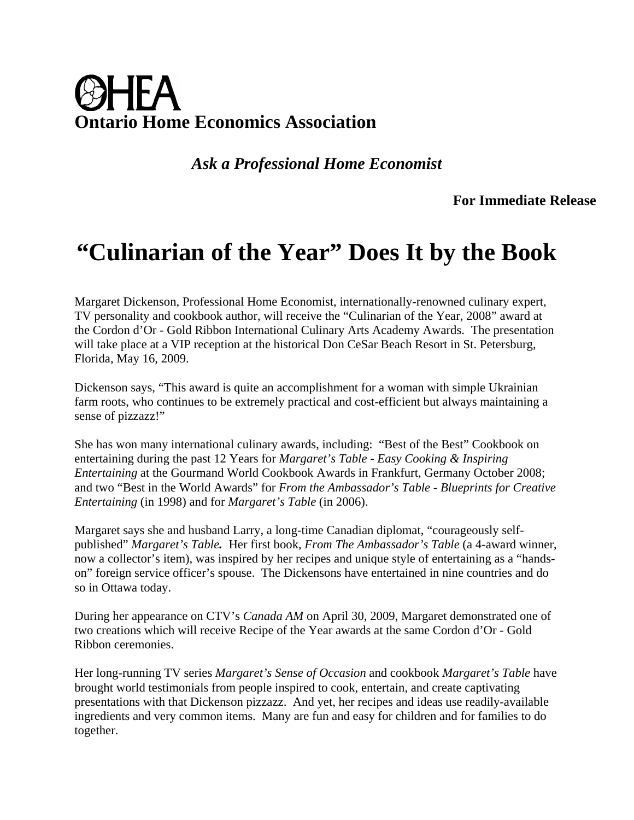## **Ontario Home Economics Association**

*Ask a Professional Home Economist* 

 **For Immediate Release** 

## **"Culinarian of the Year" Does It by the Book**

Margaret Dickenson, Professional Home Economist, internationally-renowned culinary expert, TV personality and cookbook author, will receive the "Culinarian of the Year, 2008" award at the Cordon d'Or - Gold Ribbon International Culinary Arts Academy Awards. The presentation will take place at a VIP reception at the historical Don CeSar Beach Resort in St. Petersburg, Florida, May 16, 2009.

Dickenson says, "This award is quite an accomplishment for a woman with simple Ukrainian farm roots, who continues to be extremely practical and cost-efficient but always maintaining a sense of pizzazz!"

She has won many international culinary awards, including: "Best of the Best" Cookbook on entertaining during the past 12 Years for *Margaret's Table - Easy Cooking & Inspiring Entertaining* at the Gourmand World Cookbook Awards in Frankfurt, Germany October 2008; and two "Best in the World Awards" for *From the Ambassador's Table - Blueprints for Creative Entertaining* (in 1998) and for *Margaret's Table* (in 2006).

Margaret says she and husband Larry, a long-time Canadian diplomat, "courageously selfpublished" *Margaret's Table.* Her first book, *From The Ambassador's Table* (a 4-award winner, now a collector's item), was inspired by her recipes and unique style of entertaining as a "handson" foreign service officer's spouse. The Dickensons have entertained in nine countries and do so in Ottawa today.

During her appearance on CTV's *Canada AM* on April 30, 2009, Margaret demonstrated one of two creations which will receive Recipe of the Year awards at the same Cordon d'Or - Gold Ribbon ceremonies.

Her long-running TV series *Margaret's Sense of Occasion* and cookbook *Margaret's Table* have brought world testimonials from people inspired to cook, entertain, and create captivating presentations with that Dickenson pizzazz. And yet, her recipes and ideas use readily-available ingredients and very common items. Many are fun and easy for children and for families to do together.